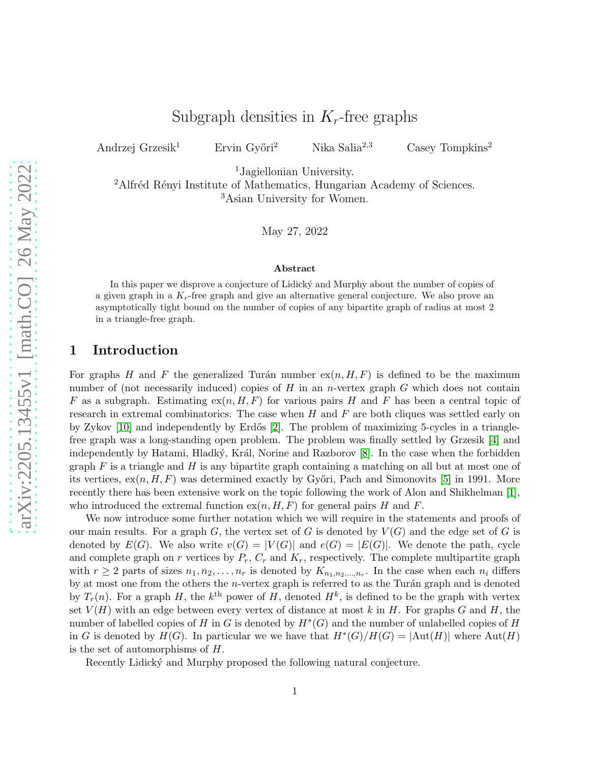# Subgraph densities in  $K_r$ -free graphs

Andrzej Grzesik<sup>1</sup> Ervin Győri<sup>2</sup> Nika Salia<sup>2,3</sup> Casey Tompkins<sup>2</sup>

<sup>1</sup>Jagiellonian University.

<sup>2</sup>Alfréd Rényi Institute of Mathematics, Hungarian Academy of Sciences. <sup>3</sup>Asian University for Women.

May 27, 2022

#### Abstract

In this paper we disprove a conjecture of Lidicky and Murphy about the number of copies of a given graph in a  $K_r$ -free graph and give an alternative general conjecture. We also prove an asymptotically tight bound on the number of copies of any bipartite graph of radius at most 2 in a triangle-free graph.

### 1 Introduction

For graphs H and F the generalized Turán number  $ex(n, H, F)$  is defined to be the maximum number of (not necessarily induced) copies of  $H$  in an n-vertex graph  $G$  which does not contain F as a subgraph. Estimating  $ex(n, H, F)$  for various pairs H and F has been a central topic of research in extremal combinatorics. The case when  $H$  and  $F$  are both cliques was settled early on by Zykov  $[10]$  and independently by Erdős  $[2]$ . The problem of maximizing 5-cycles in a trianglefree graph was a long-standing open problem. The problem was finally settled by Grzesik [\[4\]](#page-4-1) and independently by Hatami, Hladký, Král, Norine and Razborov [\[8\]](#page-4-2). In the case when the forbidden graph  $F$  is a triangle and  $H$  is any bipartite graph containing a matching on all but at most one of its vertices,  $ex(n, H, F)$  was determined exactly by Győri, Pach and Simonovits [\[5\]](#page-4-3) in 1991. More recently there has been extensive work on the topic following the work of Alon and Shikhelman [\[1\]](#page-4-4), who introduced the extremal function  $ex(n, H, F)$  for general pairs H and F.

We now introduce some further notation which we will require in the statements and proofs of our main results. For a graph G, the vertex set of G is denoted by  $V(G)$  and the edge set of G is denoted by  $E(G)$ . We also write  $v(G) = |V(G)|$  and  $e(G) = |E(G)|$ . We denote the path, cycle and complete graph on r vertices by  $P_r$ ,  $C_r$  and  $K_r$ , respectively. The complete multipartite graph with  $r \geq 2$  parts of sizes  $n_1, n_2, \ldots, n_r$  is denoted by  $K_{n_1, n_2, \ldots, n_r}$ . In the case when each  $n_i$  differs by at most one from the others the *n*-vertex graph is referred to as the Turán graph and is denoted by  $T_r(n)$ . For a graph H, the  $k^{\text{th}}$  power of H, denoted  $H^k$ , is defined to be the graph with vertex set  $V(H)$  with an edge between every vertex of distance at most k in H. For graphs G and H, the number of labelled copies of H in G is denoted by  $H^*(G)$  and the number of unlabelled copies of H in G is denoted by  $H(G)$ . In particular we we have that  $H^*(G)/H(G) = |\text{Aut}(H)|$  where  $\text{Aut}(H)$ is the set of automorphisms of H.

Recently Lidický and Murphy proposed the following natural conjecture.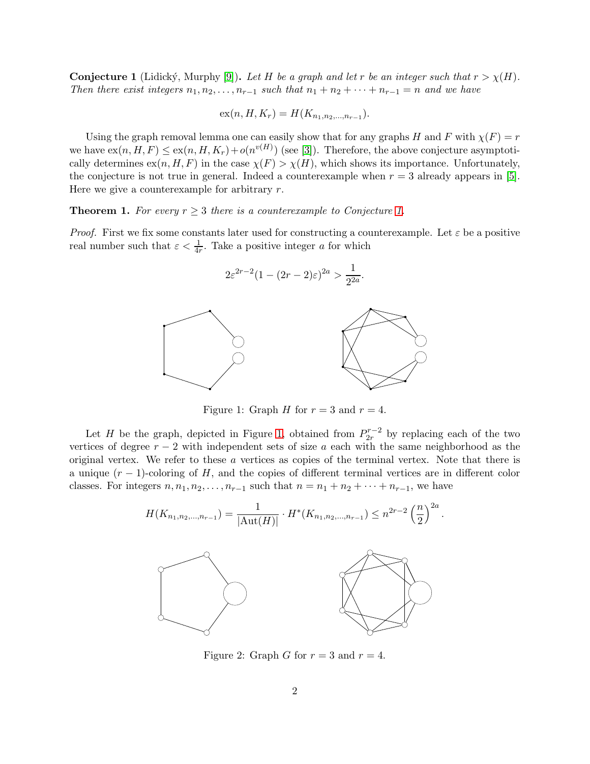<span id="page-1-0"></span>**Conjecture 1** (Lidický, Murphy [\[9\]](#page-5-1)). Let H be a graph and let r be an integer such that  $r > \chi(H)$ . *Then there exist integers*  $n_1, n_2, \ldots, n_{r-1}$  *such that*  $n_1 + n_2 + \cdots + n_{r-1} = n$  *and we have* 

$$
ex(n, H, K_r) = H(K_{n_1, n_2, \ldots, n_{r-1}}).
$$

Using the graph removal lemma one can easily show that for any graphs H and F with  $\chi(F) = r$ we have  $ex(n, H, F) \le ex(n, H, K_r) + o(n^{v(H)})$  (see [\[3\]](#page-4-5)). Therefore, the above conjecture asymptotically determines  $ex(n, H, F)$  in the case  $\chi(F) > \chi(H)$ , which shows its importance. Unfortunately, the conjecture is not true in general. Indeed a counterexample when  $r = 3$  already appears in [\[5\]](#page-4-3). Here we give a counterexample for arbitrary  $r$ .

**Theorem [1.](#page-1-0)** *For every*  $r \geq 3$  *there is a counterexample to Conjecture 1.* 

*Proof.* First we fix some constants later used for constructing a counterexample. Let  $\varepsilon$  be a positive real number such that  $\varepsilon < \frac{1}{4r}$ . Take a positive integer a for which



<span id="page-1-1"></span>Figure 1: Graph H for  $r = 3$  and  $r = 4$ .

Let H be the graph, depicted in Figure [1,](#page-1-1) obtained from  $P_{2r}^{r-2}$  by replacing each of the two vertices of degree  $r - 2$  with independent sets of size a each with the same neighborhood as the original vertex. We refer to these a vertices as copies of the terminal vertex. Note that there is a unique  $(r-1)$ -coloring of H, and the copies of different terminal vertices are in different color classes. For integers  $n, n_1, n_2, \ldots, n_{r-1}$  such that  $n = n_1 + n_2 + \cdots + n_{r-1}$ , we have



<span id="page-1-2"></span>Figure 2: Graph G for  $r = 3$  and  $r = 4$ .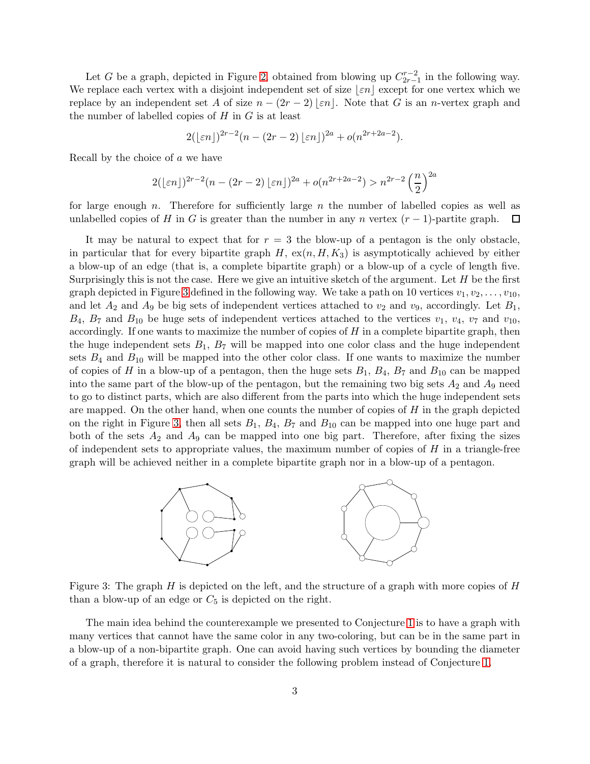Let G be a graph, depicted in Figure [2,](#page-1-2) obtained from blowing up  $C_{2r-1}^{r-2}$  in the following way. We replace each vertex with a disjoint independent set of size  $\lfloor \varepsilon n \rfloor$  except for one vertex which we replace by an independent set A of size  $n - (2r - 2) \mid \varepsilon n \mid$ . Note that G is an n-vertex graph and the number of labelled copies of  $H$  in  $G$  is at least

$$
2(\lfloor \varepsilon n \rfloor)^{2r-2}(n-(2r-2)\lfloor \varepsilon n \rfloor)^{2a}+o(n^{2r+2a-2}).
$$

Recall by the choice of  $a$  we have

$$
2(\lfloor \varepsilon n \rfloor)^{2r-2} (n - (2r - 2) \lfloor \varepsilon n \rfloor)^{2a} + o(n^{2r+2a-2}) > n^{2r-2} \left(\frac{n}{2}\right)^{2a}
$$

for large enough n. Therefore for sufficiently large n the number of labelled copies as well as unlabelled copies of H in G is greater than the number in any n vertex  $(r-1)$ -partite graph.  $\Box$ 

It may be natural to expect that for  $r = 3$  the blow-up of a pentagon is the only obstacle, in particular that for every bipartite graph  $H$ ,  $ex(n, H, K_3)$  is asymptotically achieved by either a blow-up of an edge (that is, a complete bipartite graph) or a blow-up of a cycle of length five. Surprisingly this is not the case. Here we give an intuitive sketch of the argument. Let  $H$  be the first graph depicted in Figure [3](#page-2-0) defined in the following way. We take a path on 10 vertices  $v_1, v_2, \ldots, v_{10}$ , and let  $A_2$  and  $A_9$  be big sets of independent vertices attached to  $v_2$  and  $v_9$ , accordingly. Let  $B_1$ ,  $B_4$ ,  $B_7$  and  $B_{10}$  be huge sets of independent vertices attached to the vertices  $v_1$ ,  $v_4$ ,  $v_7$  and  $v_{10}$ , accordingly. If one wants to maximize the number of copies of  $H$  in a complete bipartite graph, then the huge independent sets  $B_1$ ,  $B_7$  will be mapped into one color class and the huge independent sets  $B_4$  and  $B_{10}$  will be mapped into the other color class. If one wants to maximize the number of copies of H in a blow-up of a pentagon, then the huge sets  $B_1$ ,  $B_4$ ,  $B_7$  and  $B_{10}$  can be mapped into the same part of the blow-up of the pentagon, but the remaining two big sets  $A_2$  and  $A_9$  need to go to distinct parts, which are also different from the parts into which the huge independent sets are mapped. On the other hand, when one counts the number of copies of  $H$  in the graph depicted on the right in Figure [3,](#page-2-0) then all sets  $B_1$ ,  $B_4$ ,  $B_7$  and  $B_{10}$  can be mapped into one huge part and both of the sets  $A_2$  and  $A_9$  can be mapped into one big part. Therefore, after fixing the sizes of independent sets to appropriate values, the maximum number of copies of  $H$  in a triangle-free graph will be achieved neither in a complete bipartite graph nor in a blow-up of a pentagon.



<span id="page-2-0"></span>Figure 3: The graph  $H$  is depicted on the left, and the structure of a graph with more copies of  $H$ than a blow-up of an edge or  $C_5$  is depicted on the right.

The main idea behind the counterexample we presented to Conjecture [1](#page-1-0) is to have a graph with many vertices that cannot have the same color in any two-coloring, but can be in the same part in a blow-up of a non-bipartite graph. One can avoid having such vertices by bounding the diameter of a graph, therefore it is natural to consider the following problem instead of Conjecture [1.](#page-1-0)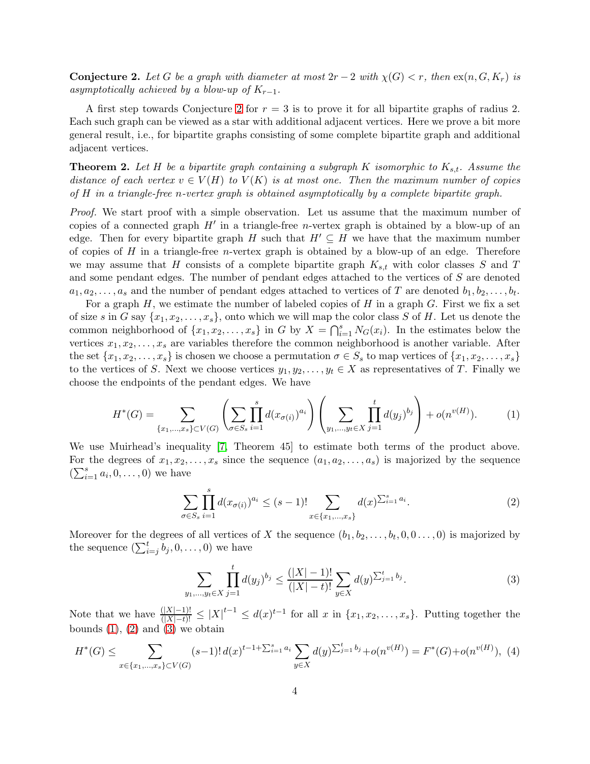<span id="page-3-0"></span>**Conjecture 2.** Let G be a graph with diameter at most  $2r - 2$  with  $\chi(G) < r$ , then  $\exp(n, G, K_r)$  is *asymptotically achieved by a blow-up of*  $K_{r-1}$ *.* 

A first step towards Conjecture [2](#page-3-0) for  $r = 3$  is to prove it for all bipartite graphs of radius 2. Each such graph can be viewed as a star with additional adjacent vertices. Here we prove a bit more general result, i.e., for bipartite graphs consisting of some complete bipartite graph and additional adjacent vertices.

**Theorem 2.** Let H be a bipartite graph containing a subgraph K isomorphic to  $K_{s,t}$ . Assume the *distance of each vertex*  $v \in V(H)$  *to*  $V(K)$  *is at most one. Then the maximum number of copies of* H *in a triangle-free* n*-vertex graph is obtained asymptotically by a complete bipartite graph.*

*Proof.* We start proof with a simple observation. Let us assume that the maximum number of copies of a connected graph  $H'$  in a triangle-free *n*-vertex graph is obtained by a blow-up of an edge. Then for every bipartite graph H such that  $H' \subseteq H$  we have that the maximum number of copies of H in a triangle-free *n*-vertex graph is obtained by a blow-up of an edge. Therefore we may assume that H consists of a complete bipartite graph  $K_{s,t}$  with color classes S and T and some pendant edges. The number of pendant edges attached to the vertices of S are denoted  $a_1, a_2, \ldots, a_s$  and the number of pendant edges attached to vertices of T are denoted  $b_1, b_2, \ldots, b_t$ .

For a graph  $H$ , we estimate the number of labeled copies of  $H$  in a graph  $G$ . First we fix a set of size s in G say  $\{x_1, x_2, \ldots, x_s\}$ , onto which we will map the color class S of H. Let us denote the common neighborhood of  $\{x_1, x_2, \ldots, x_s\}$  in G by  $X = \bigcap_{i=1}^s N_G(x_i)$ . In the estimates below the vertices  $x_1, x_2, \ldots, x_s$  are variables therefore the common neighborhood is another variable. After the set  $\{x_1, x_2, \ldots, x_s\}$  is chosen we choose a permutation  $\sigma \in S_s$  to map vertices of  $\{x_1, x_2, \ldots, x_s\}$ to the vertices of S. Next we choose vertices  $y_1, y_2, \ldots, y_t \in X$  as representatives of T. Finally we choose the endpoints of the pendant edges. We have

<span id="page-3-1"></span>
$$
H^*(G) = \sum_{\{x_1,\dots,x_s\} \subset V(G)} \left( \sum_{\sigma \in S_s} \prod_{i=1}^s d(x_{\sigma(i)})^{a_i} \right) \left( \sum_{y_1,\dots,y_t \in X} \prod_{j=1}^t d(y_j)^{b_j} \right) + o(n^{v(H)}).
$$
 (1)

We use Muirhead's inequality [\[7,](#page-4-6) Theorem 45] to estimate both terms of the product above. For the degrees of  $x_1, x_2, \ldots, x_s$  since the sequence  $(a_1, a_2, \ldots, a_s)$  is majorized by the sequence  $(\sum_{i=1}^s a_i, 0, \ldots, 0)$  we have

<span id="page-3-2"></span>
$$
\sum_{\sigma \in S_s} \prod_{i=1}^s d(x_{\sigma(i)})^{a_i} \le (s-1)! \sum_{x \in \{x_1, \dots, x_s\}} d(x)^{\sum_{i=1}^s a_i}.
$$
 (2)

Moreover for the degrees of all vertices of X the sequence  $(b_1, b_2, \ldots, b_t, 0, 0 \ldots, 0)$  is majorized by the sequence  $(\sum_{i=j}^{t} b_j, 0, \ldots, 0)$  we have

<span id="page-3-3"></span>
$$
\sum_{y_1,\dots,y_t \in X} \prod_{j=1}^t d(y_j)^{b_j} \le \frac{(|X|-1)!}{(|X|-t)!} \sum_{y \in X} d(y)^{\sum_{j=1}^t b_j}.
$$
 (3)

Note that we have  $\frac{(|X|-1)!}{(|X|-t)!} \leq |X|^{t-1} \leq d(x)^{t-1}$  for all x in  $\{x_1, x_2, \ldots, x_s\}$ . Putting together the bounds  $(1)$ ,  $(2)$  and  $(3)$  we obtain

$$
H^*(G) \le \sum_{x \in \{x_1, \dots, x_s\} \subset V(G)} (s-1)! \, d(x)^{t-1+\sum_{i=1}^s a_i} \sum_{y \in X} d(y)^{\sum_{j=1}^t b_j} + o(n^{v(H)}) = F^*(G) + o(n^{v(H)}), \tag{4}
$$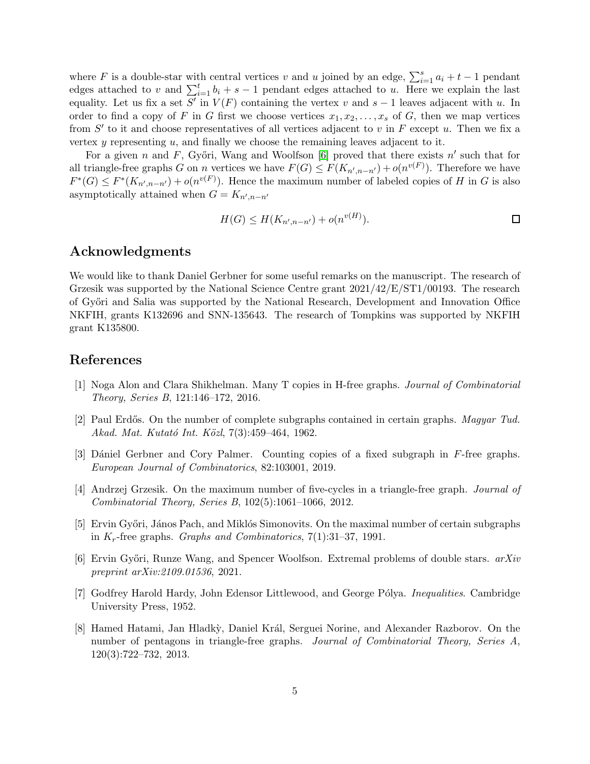where F is a double-star with central vertices v and u joined by an edge,  $\sum_{i=1}^{s} a_i + t - 1$  pendant edges attached to v and  $\sum_{i=1}^{t} b_i + s - 1$  pendant edges attached to u. Here we explain the last equality. Let us fix a set  $S'$  in  $V(F)$  containing the vertex v and  $s-1$  leaves adjacent with u. In order to find a copy of F in G first we choose vertices  $x_1, x_2, \ldots, x_s$  of G, then we map vertices from  $S'$  to it and choose representatives of all vertices adjacent to v in F except u. Then we fix a vertex  $y$  representing  $u$ , and finally we choose the remaining leaves adjacent to it.

For a given n and F, Győri, Wang and Woolfson [\[6\]](#page-4-7) proved that there exists  $n'$  such that for all triangle-free graphs G on n vertices we have  $F(G) \leq F(K_{n',n-n'}) + o(n^{v(F)})$ . Therefore we have  $F^*(G) \leq F^*(K_{n',n-n'}) + o(n^{v(F)})$ . Hence the maximum number of labeled copies of H in G is also asymptotically attained when  $G = K_{n',n-n'}$ 

$$
H(G) \le H(K_{n',n-n'}) + o(n^{v(H)}).
$$

# Acknowledgments

We would like to thank Daniel Gerbner for some useful remarks on the manuscript. The research of Grzesik was supported by the National Science Centre grant 2021/42/E/ST1/00193. The research of Gy˝ori and Salia was supported by the National Research, Development and Innovation Office NKFIH, grants K132696 and SNN-135643. The research of Tompkins was supported by NKFIH grant K135800.

## <span id="page-4-4"></span>References

- <span id="page-4-0"></span>[1] Noga Alon and Clara Shikhelman. Many T copies in H-free graphs. *Journal of Combinatorial Theory, Series B*, 121:146–172, 2016.
- <span id="page-4-5"></span>[2] Paul Erd˝os. On the number of complete subgraphs contained in certain graphs. *Magyar Tud. Akad. Mat. Kutat´o Int. K¨ozl*, 7(3):459–464, 1962.
- <span id="page-4-1"></span>[3] Dániel Gerbner and Cory Palmer. Counting copies of a fixed subgraph in F-free graphs. *European Journal of Combinatorics*, 82:103001, 2019.
- <span id="page-4-3"></span>[4] Andrzej Grzesik. On the maximum number of five-cycles in a triangle-free graph. *Journal of Combinatorial Theory, Series B*, 102(5):1061–1066, 2012.
- [5] Ervin Győri, János Pach, and Miklós Simonovits. On the maximal number of certain subgraphs in Kr-free graphs. *Graphs and Combinatorics*, 7(1):31–37, 1991.
- <span id="page-4-7"></span><span id="page-4-6"></span>[6] Ervin Gy˝ori, Runze Wang, and Spencer Woolfson. Extremal problems of double stars. *arXiv preprint arXiv:2109.01536*, 2021.
- <span id="page-4-2"></span>[7] Godfrey Harold Hardy, John Edensor Littlewood, and George P´olya. *Inequalities*. Cambridge University Press, 1952.
- [8] Hamed Hatami, Jan Hladk`y, Daniel Kr´al, Serguei Norine, and Alexander Razborov. On the number of pentagons in triangle-free graphs. *Journal of Combinatorial Theory, Series A*, 120(3):722–732, 2013.